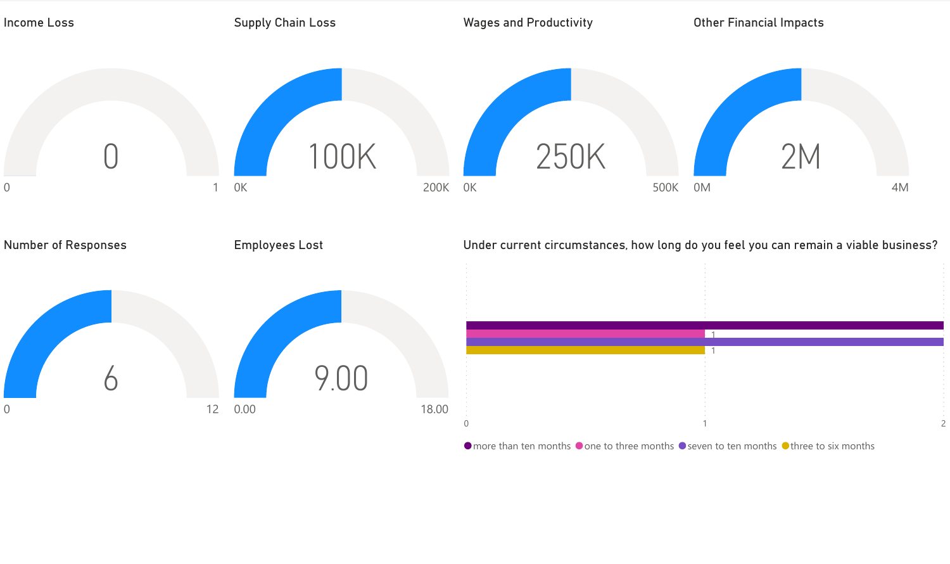

 $\bullet$  more than ten months  $\bullet$  one to three months  $\bullet$  seven to ten months  $\bullet$  three to six months